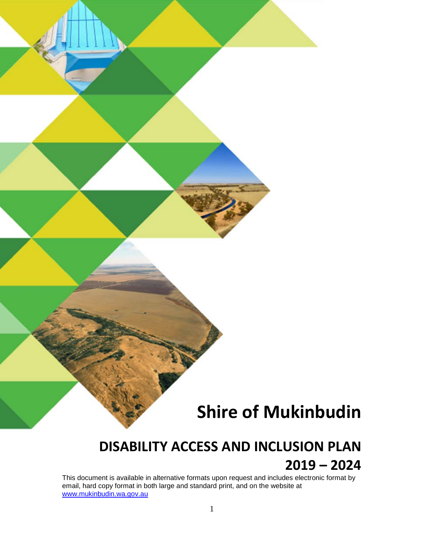# **Shire of Mukinbudin**

# **DISABILITY ACCESS AND INCLUSION PLAN 2019 – 2024**

This document is available in alternative formats upon request and includes electronic format by email, hard copy format in both large and standard print, and on the website at [www.mukinbudin.wa.gov.au](http://www.mukinbudin.wa.gov.au/)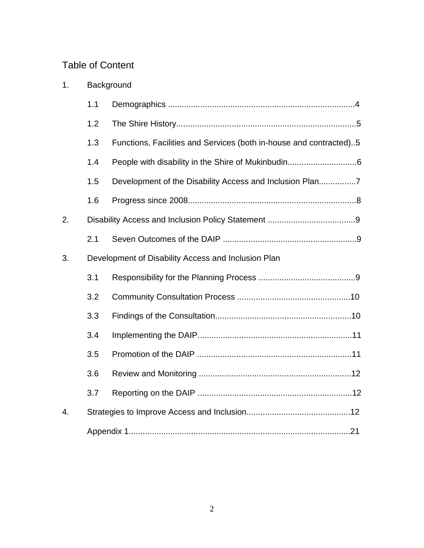# Table of Content

| 1.               | Background |                                                                    |  |  |  |  |
|------------------|------------|--------------------------------------------------------------------|--|--|--|--|
|                  | 1.1        |                                                                    |  |  |  |  |
|                  | 1.2        |                                                                    |  |  |  |  |
|                  | 1.3        | Functions, Facilities and Services (both in-house and contracted)5 |  |  |  |  |
|                  | 1.4        |                                                                    |  |  |  |  |
|                  | 1.5        |                                                                    |  |  |  |  |
|                  | 1.6        |                                                                    |  |  |  |  |
| 2.               |            |                                                                    |  |  |  |  |
|                  | 2.1        |                                                                    |  |  |  |  |
| 3.               |            | Development of Disability Access and Inclusion Plan                |  |  |  |  |
|                  | 3.1        |                                                                    |  |  |  |  |
|                  | 3.2        |                                                                    |  |  |  |  |
|                  | 3.3        |                                                                    |  |  |  |  |
|                  | 3.4        |                                                                    |  |  |  |  |
|                  | 3.5        |                                                                    |  |  |  |  |
|                  | 3.6        |                                                                    |  |  |  |  |
|                  | 3.7        |                                                                    |  |  |  |  |
| $\overline{4}$ . |            |                                                                    |  |  |  |  |
|                  |            |                                                                    |  |  |  |  |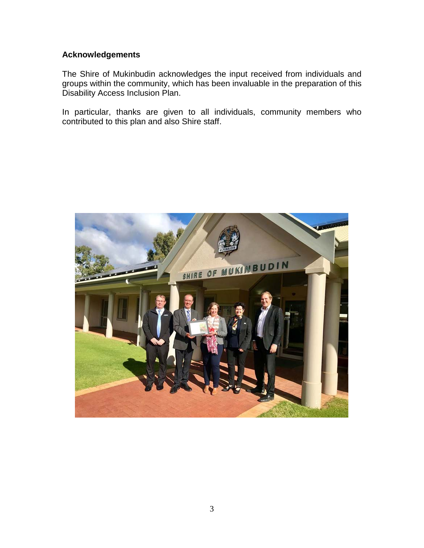# **Acknowledgements**

The Shire of Mukinbudin acknowledges the input received from individuals and groups within the community, which has been invaluable in the preparation of this Disability Access Inclusion Plan.

In particular, thanks are given to all individuals, community members who contributed to this plan and also Shire staff.

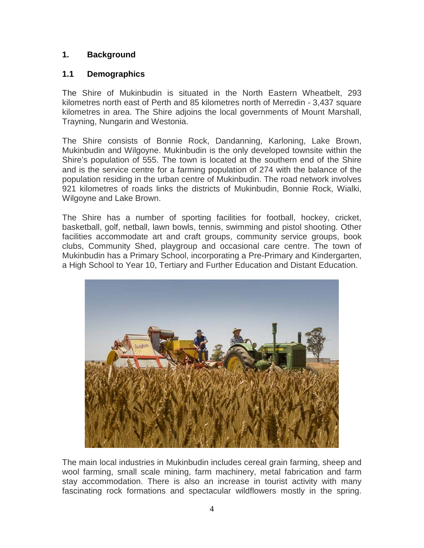# **1. Background**

# **1.1 Demographics**

The Shire of Mukinbudin is situated in the North Eastern Wheatbelt, 293 kilometres north east of Perth and 85 kilometres north of Merredin - 3,437 square kilometres in area. The Shire adjoins the local governments of Mount Marshall, Trayning, Nungarin and Westonia.

The Shire consists of Bonnie Rock, Dandanning, Karloning, Lake Brown, Mukinbudin and Wilgoyne. Mukinbudin is the only developed townsite within the Shire's population of 555. The town is located at the southern end of the Shire and is the service centre for a farming population of 274 with the balance of the population residing in the urban centre of Mukinbudin. The road network involves 921 kilometres of roads links the districts of Mukinbudin, Bonnie Rock, Wialki, Wilgoyne and Lake Brown.

The Shire has a number of sporting facilities for football, hockey, cricket, basketball, golf, netball, lawn bowls, tennis, swimming and pistol shooting. Other facilities accommodate art and craft groups, community service groups, book clubs, Community Shed, playgroup and occasional care centre. The town of Mukinbudin has a Primary School, incorporating a Pre-Primary and Kindergarten, a High School to Year 10, Tertiary and Further Education and Distant Education.



The main local industries in Mukinbudin includes cereal grain farming, sheep and wool farming, small scale mining, farm machinery, metal fabrication and farm stay accommodation. There is also an increase in tourist activity with many fascinating rock formations and spectacular wildflowers mostly in the spring.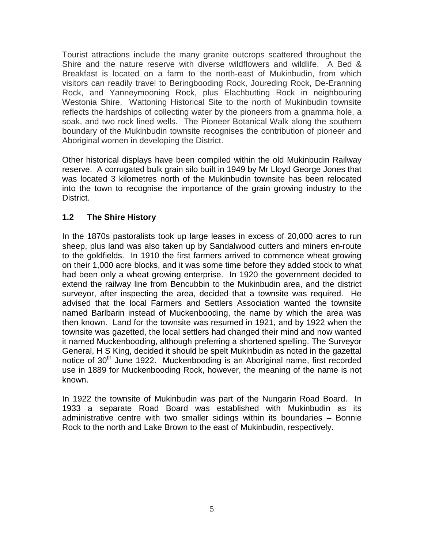Tourist attractions include the many granite outcrops scattered throughout the Shire and the nature reserve with diverse wildflowers and wildlife. A Bed & Breakfast is located on a farm to the north-east of Mukinbudin, from which visitors can readily travel to Beringbooding Rock, Joureding Rock, De-Eranning Rock, and Yanneymooning Rock, plus Elachbutting Rock in neighbouring Westonia Shire. Wattoning Historical Site to the north of Mukinbudin townsite reflects the hardships of collecting water by the pioneers from a gnamma hole, a soak, and two rock lined wells. The Pioneer Botanical Walk along the southern boundary of the Mukinbudin townsite recognises the contribution of pioneer and Aboriginal women in developing the District.

Other historical displays have been compiled within the old Mukinbudin Railway reserve. A corrugated bulk grain silo built in 1949 by Mr Lloyd George Jones that was located 3 kilometres north of the Mukinbudin townsite has been relocated into the town to recognise the importance of the grain growing industry to the District.

# **1.2 The Shire History**

In the 1870s pastoralists took up large leases in excess of 20,000 acres to run sheep, plus land was also taken up by Sandalwood cutters and miners en-route to the goldfields. In 1910 the first farmers arrived to commence wheat growing on their 1,000 acre blocks, and it was some time before they added stock to what had been only a wheat growing enterprise. In 1920 the government decided to extend the railway line from Bencubbin to the Mukinbudin area, and the district surveyor, after inspecting the area, decided that a townsite was required. He advised that the local Farmers and Settlers Association wanted the townsite named Barlbarin instead of Muckenbooding, the name by which the area was then known. Land for the townsite was resumed in 1921, and by 1922 when the townsite was gazetted, the local settlers had changed their mind and now wanted it named Muckenbooding, although preferring a shortened spelling. The Surveyor General, H S King, decided it should be spelt Mukinbudin as noted in the gazettal notice of  $30<sup>th</sup>$  June 1922. Muckenbooding is an Aboriginal name, first recorded use in 1889 for Muckenbooding Rock, however, the meaning of the name is not known.

In 1922 the townsite of Mukinbudin was part of the Nungarin Road Board. In 1933 a separate Road Board was established with Mukinbudin as its administrative centre with two smaller sidings within its boundaries – Bonnie Rock to the north and Lake Brown to the east of Mukinbudin, respectively.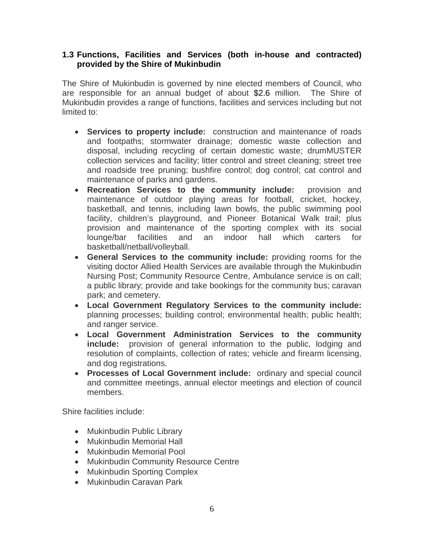### **1.3 Functions, Facilities and Services (both in-house and contracted) provided by the Shire of Mukinbudin**

The Shire of Mukinbudin is governed by nine elected members of Council, who are responsible for an annual budget of about \$2.6 million. The Shire of Mukinbudin provides a range of functions, facilities and services including but not limited to:

- **Services to property include:** construction and maintenance of roads and footpaths; stormwater drainage; domestic waste collection and disposal, including recycling of certain domestic waste; drumMUSTER collection services and facility; litter control and street cleaning; street tree and roadside tree pruning; bushfire control; dog control; cat control and maintenance of parks and gardens.
- **Recreation Services to the community include:** provision and maintenance of outdoor playing areas for football, cricket, hockey, basketball, and tennis, including lawn bowls, the public swimming pool facility, children's playground, and Pioneer Botanical Walk trail; plus provision and maintenance of the sporting complex with its social lounge/bar facilities and an indoor hall which carters for basketball/netball/volleyball.
- **General Services to the community include:** providing rooms for the visiting doctor Allied Health Services are available through the Mukinbudin Nursing Post; Community Resource Centre, Ambulance service is on call; a public library; provide and take bookings for the community bus; caravan park; and cemetery.
- **Local Government Regulatory Services to the community include:** planning processes; building control; environmental health; public health; and ranger service.
- **Local Government Administration Services to the community include:** provision of general information to the public, lodging and resolution of complaints, collection of rates; vehicle and firearm licensing, and dog registrations.
- **Processes of Local Government include:** ordinary and special council and committee meetings, annual elector meetings and election of council members.

Shire facilities include:

- Mukinbudin Public Library
- Mukinbudin Memorial Hall
- Mukinbudin Memorial Pool
- Mukinbudin Community Resource Centre
- Mukinbudin Sporting Complex
- Mukinbudin Caravan Park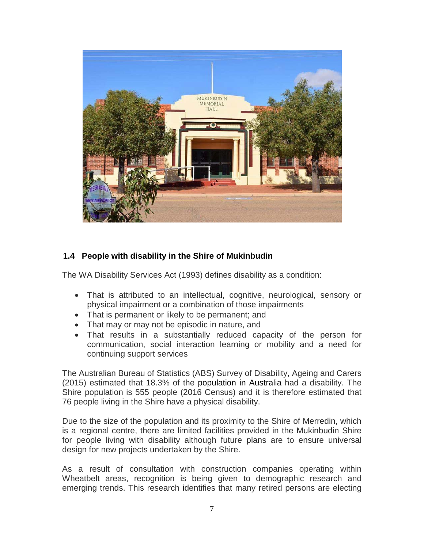

# **1.4 People with disability in the Shire of Mukinbudin**

The WA Disability Services Act (1993) defines disability as a condition:

- That is attributed to an intellectual, cognitive, neurological, sensory or physical impairment or a combination of those impairments
- That is permanent or likely to be permanent; and
- That may or may not be episodic in nature, and
- That results in a substantially reduced capacity of the person for communication, social interaction learning or mobility and a need for continuing support services

The Australian Bureau of Statistics (ABS) Survey of Disability, Ageing and Carers (2015) estimated that 18.3% of the population in Australia had a disability. The Shire population is 555 people (2016 Census) and it is therefore estimated that 76 people living in the Shire have a physical disability.

Due to the size of the population and its proximity to the Shire of Merredin, which is a regional centre, there are limited facilities provided in the Mukinbudin Shire for people living with disability although future plans are to ensure universal design for new projects undertaken by the Shire.

As a result of consultation with construction companies operating within Wheatbelt areas, recognition is being given to demographic research and emerging trends. This research identifies that many retired persons are electing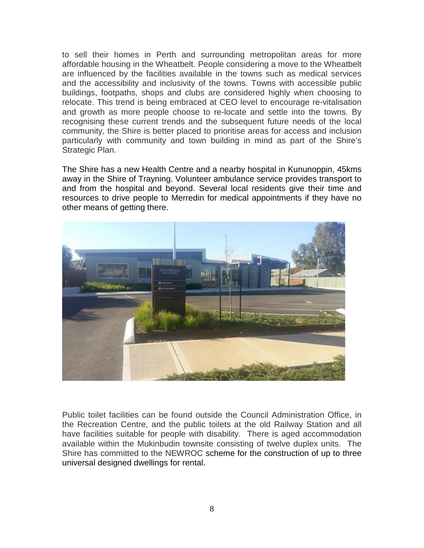to sell their homes in Perth and surrounding metropolitan areas for more affordable housing in the Wheatbelt. People considering a move to the Wheatbelt are influenced by the facilities available in the towns such as medical services and the accessibility and inclusivity of the towns. Towns with accessible public buildings, footpaths, shops and clubs are considered highly when choosing to relocate. This trend is being embraced at CEO level to encourage re-vitalisation and growth as more people choose to re-locate and settle into the towns. By recognising these current trends and the subsequent future needs of the local community, the Shire is better placed to prioritise areas for access and inclusion particularly with community and town building in mind as part of the Shire's Strategic Plan.

The Shire has a new Health Centre and a nearby hospital in Kununoppin, 45kms away in the Shire of Trayning. Volunteer ambulance service provides transport to and from the hospital and beyond. Several local residents give their time and resources to drive people to Merredin for medical appointments if they have no other means of getting there.



Public toilet facilities can be found outside the Council Administration Office, in the Recreation Centre, and the public toilets at the old Railway Station and all have facilities suitable for people with disability. There is aged accommodation available within the Mukinbudin townsite consisting of twelve duplex units. The Shire has committed to the NEWROC scheme for the construction of up to three universal designed dwellings for rental.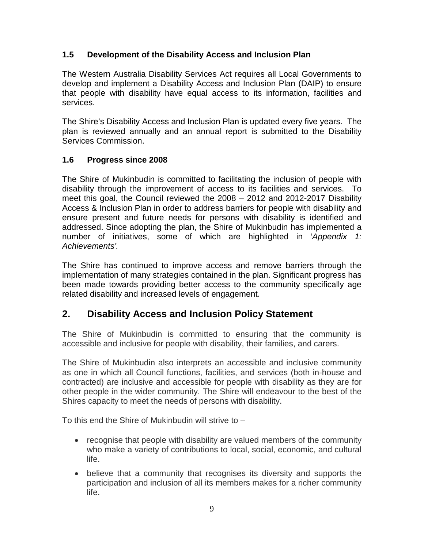# **1.5 Development of the Disability Access and Inclusion Plan**

The Western Australia Disability Services Act requires all Local Governments to develop and implement a Disability Access and Inclusion Plan (DAIP) to ensure that people with disability have equal access to its information, facilities and services.

The Shire's Disability Access and Inclusion Plan is updated every five years. The plan is reviewed annually and an annual report is submitted to the Disability Services Commission.

# **1.6 Progress since 2008**

The Shire of Mukinbudin is committed to facilitating the inclusion of people with disability through the improvement of access to its facilities and services. To meet this goal, the Council reviewed the 2008 – 2012 and 2012-2017 Disability Access & Inclusion Plan in order to address barriers for people with disability and ensure present and future needs for persons with disability is identified and addressed. Since adopting the plan, the Shire of Mukinbudin has implemented a number of initiatives, some of which are highlighted in '*Appendix 1: Achievements'.*

The Shire has continued to improve access and remove barriers through the implementation of many strategies contained in the plan. Significant progress has been made towards providing better access to the community specifically age related disability and increased levels of engagement.

# **2. Disability Access and Inclusion Policy Statement**

The Shire of Mukinbudin is committed to ensuring that the community is accessible and inclusive for people with disability, their families, and carers.

The Shire of Mukinbudin also interprets an accessible and inclusive community as one in which all Council functions, facilities, and services (both in-house and contracted) are inclusive and accessible for people with disability as they are for other people in the wider community. The Shire will endeavour to the best of the Shires capacity to meet the needs of persons with disability.

To this end the Shire of Mukinbudin will strive to –

- recognise that people with disability are valued members of the community who make a variety of contributions to local, social, economic, and cultural life.
- believe that a community that recognises its diversity and supports the participation and inclusion of all its members makes for a richer community life.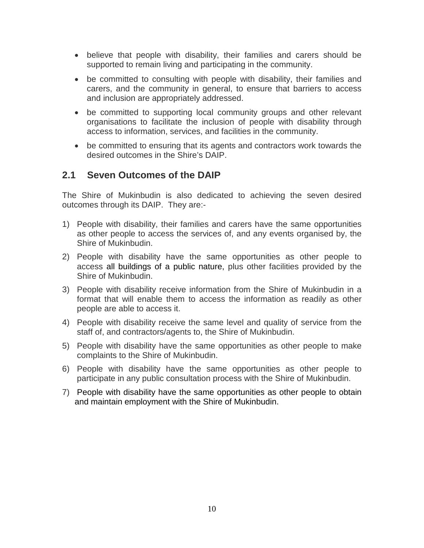- believe that people with disability, their families and carers should be supported to remain living and participating in the community.
- be committed to consulting with people with disability, their families and carers, and the community in general, to ensure that barriers to access and inclusion are appropriately addressed.
- be committed to supporting local community groups and other relevant organisations to facilitate the inclusion of people with disability through access to information, services, and facilities in the community.
- be committed to ensuring that its agents and contractors work towards the desired outcomes in the Shire's DAIP.

# **2.1 Seven Outcomes of the DAIP**

The Shire of Mukinbudin is also dedicated to achieving the seven desired outcomes through its DAIP. They are:-

- 1) People with disability, their families and carers have the same opportunities as other people to access the services of, and any events organised by, the Shire of Mukinbudin.
- 2) People with disability have the same opportunities as other people to access all buildings of a public nature, plus other facilities provided by the Shire of Mukinbudin.
- 3) People with disability receive information from the Shire of Mukinbudin in a format that will enable them to access the information as readily as other people are able to access it.
- 4) People with disability receive the same level and quality of service from the staff of, and contractors/agents to, the Shire of Mukinbudin.
- 5) People with disability have the same opportunities as other people to make complaints to the Shire of Mukinbudin.
- 6) People with disability have the same opportunities as other people to participate in any public consultation process with the Shire of Mukinbudin.
- 7) People with disability have the same opportunities as other people to obtain and maintain employment with the Shire of Mukinbudin.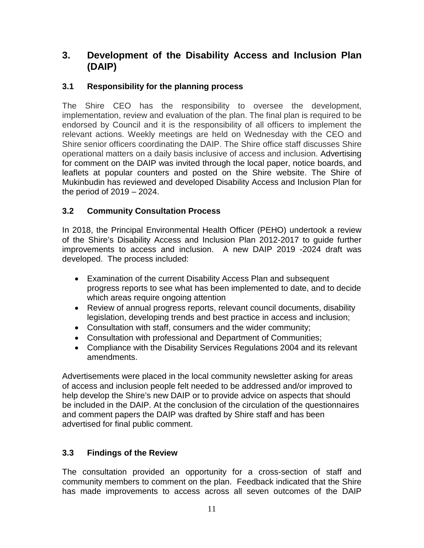# **3. Development of the Disability Access and Inclusion Plan (DAIP)**

# **3.1 Responsibility for the planning process**

The Shire CEO has the responsibility to oversee the development, implementation, review and evaluation of the plan. The final plan is required to be endorsed by Council and it is the responsibility of all officers to implement the relevant actions. Weekly meetings are held on Wednesday with the CEO and Shire senior officers coordinating the DAIP. The Shire office staff discusses Shire operational matters on a daily basis inclusive of access and inclusion. Advertising for comment on the DAIP was invited through the local paper, notice boards, and leaflets at popular counters and posted on the Shire website. The Shire of Mukinbudin has reviewed and developed Disability Access and Inclusion Plan for the period of 2019 – 2024.

# **3.2 Community Consultation Process**

In 2018, the Principal Environmental Health Officer (PEHO) undertook a review of the Shire's Disability Access and Inclusion Plan 2012-2017 to guide further improvements to access and inclusion. A new DAIP 2019 -2024 draft was developed. The process included:

- Examination of the current Disability Access Plan and subsequent progress reports to see what has been implemented to date, and to decide which areas require ongoing attention
- Review of annual progress reports, relevant council documents, disability legislation, developing trends and best practice in access and inclusion;
- Consultation with staff, consumers and the wider community;
- Consultation with professional and Department of Communities;
- Compliance with the Disability Services Regulations 2004 and its relevant amendments.

Advertisements were placed in the local community newsletter asking for areas of access and inclusion people felt needed to be addressed and/or improved to help develop the Shire's new DAIP or to provide advice on aspects that should be included in the DAIP. At the conclusion of the circulation of the questionnaires and comment papers the DAIP was drafted by Shire staff and has been advertised for final public comment.

# **3.3 Findings of the Review**

The consultation provided an opportunity for a cross-section of staff and community members to comment on the plan. Feedback indicated that the Shire has made improvements to access across all seven outcomes of the DAIP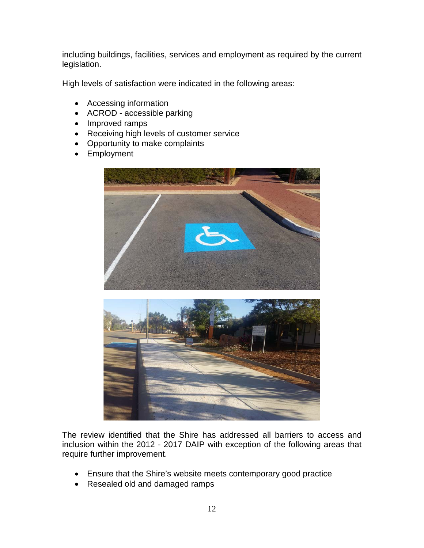including buildings, facilities, services and employment as required by the current legislation.

High levels of satisfaction were indicated in the following areas:

- Accessing information
- ACROD accessible parking
- Improved ramps
- Receiving high levels of customer service
- Opportunity to make complaints
- Employment





The review identified that the Shire has addressed all barriers to access and inclusion within the 2012 - 2017 DAIP with exception of the following areas that require further improvement.

- Ensure that the Shire's website meets contemporary good practice
- Resealed old and damaged ramps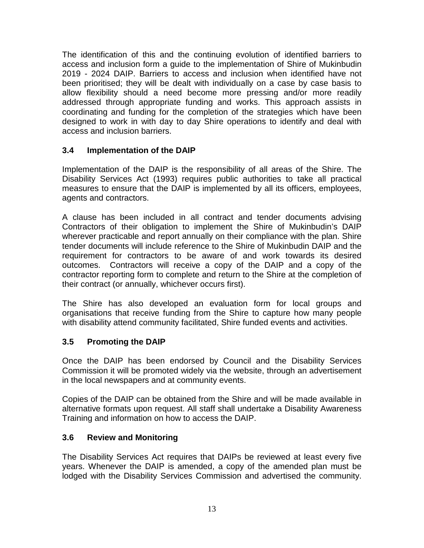The identification of this and the continuing evolution of identified barriers to access and inclusion form a guide to the implementation of Shire of Mukinbudin 2019 - 2024 DAIP. Barriers to access and inclusion when identified have not been prioritised; they will be dealt with individually on a case by case basis to allow flexibility should a need become more pressing and/or more readily addressed through appropriate funding and works. This approach assists in coordinating and funding for the completion of the strategies which have been designed to work in with day to day Shire operations to identify and deal with access and inclusion barriers.

# **3.4 Implementation of the DAIP**

Implementation of the DAIP is the responsibility of all areas of the Shire. The Disability Services Act (1993) requires public authorities to take all practical measures to ensure that the DAIP is implemented by all its officers, employees, agents and contractors.

A clause has been included in all contract and tender documents advising Contractors of their obligation to implement the Shire of Mukinbudin's DAIP wherever practicable and report annually on their compliance with the plan. Shire tender documents will include reference to the Shire of Mukinbudin DAIP and the requirement for contractors to be aware of and work towards its desired outcomes. Contractors will receive a copy of the DAIP and a copy of the contractor reporting form to complete and return to the Shire at the completion of their contract (or annually, whichever occurs first).

The Shire has also developed an evaluation form for local groups and organisations that receive funding from the Shire to capture how many people with disability attend community facilitated, Shire funded events and activities.

# **3.5 Promoting the DAIP**

Once the DAIP has been endorsed by Council and the Disability Services Commission it will be promoted widely via the website, through an advertisement in the local newspapers and at community events.

Copies of the DAIP can be obtained from the Shire and will be made available in alternative formats upon request. All staff shall undertake a Disability Awareness Training and information on how to access the DAIP.

#### **3.6 Review and Monitoring**

The Disability Services Act requires that DAIPs be reviewed at least every five years. Whenever the DAIP is amended, a copy of the amended plan must be lodged with the Disability Services Commission and advertised the community.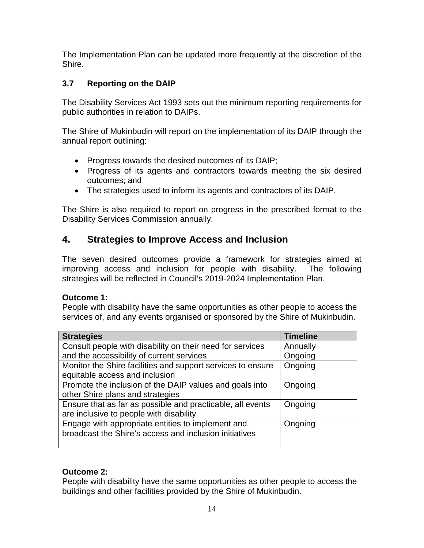The Implementation Plan can be updated more frequently at the discretion of the Shire.

# **3.7 Reporting on the DAIP**

The Disability Services Act 1993 sets out the minimum reporting requirements for public authorities in relation to DAIPs.

The Shire of Mukinbudin will report on the implementation of its DAIP through the annual report outlining:

- Progress towards the desired outcomes of its DAIP;
- Progress of its agents and contractors towards meeting the six desired outcomes; and
- The strategies used to inform its agents and contractors of its DAIP.

The Shire is also required to report on progress in the prescribed format to the Disability Services Commission annually.

# **4. Strategies to Improve Access and Inclusion**

The seven desired outcomes provide a framework for strategies aimed at improving access and inclusion for people with disability. The following strategies will be reflected in Council's 2019-2024 Implementation Plan.

# **Outcome 1:**

People with disability have the same opportunities as other people to access the services of, and any events organised or sponsored by the Shire of Mukinbudin.

| <b>Strategies</b>                                           | <b>Timeline</b> |
|-------------------------------------------------------------|-----------------|
| Consult people with disability on their need for services   | Annually        |
| and the accessibility of current services                   | Ongoing         |
| Monitor the Shire facilities and support services to ensure | Ongoing         |
| equitable access and inclusion                              |                 |
| Promote the inclusion of the DAIP values and goals into     | Ongoing         |
| other Shire plans and strategies                            |                 |
| Ensure that as far as possible and practicable, all events  | Ongoing         |
| are inclusive to people with disability                     |                 |
| Engage with appropriate entities to implement and           | Ongoing         |
| broadcast the Shire's access and inclusion initiatives      |                 |
|                                                             |                 |

# **Outcome 2:**

People with disability have the same opportunities as other people to access the buildings and other facilities provided by the Shire of Mukinbudin.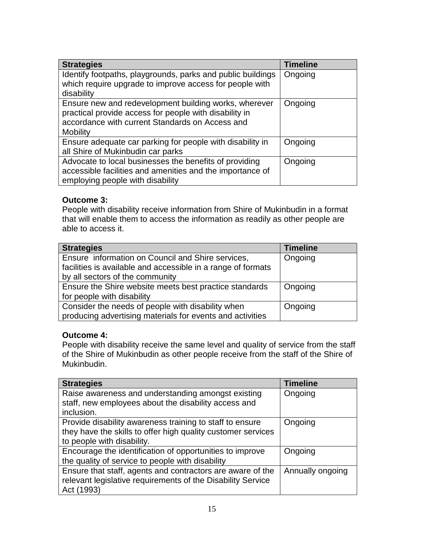| <b>Strategies</b>                                                                                                                                                                     | <b>Timeline</b> |
|---------------------------------------------------------------------------------------------------------------------------------------------------------------------------------------|-----------------|
| Identify footpaths, playgrounds, parks and public buildings<br>which require upgrade to improve access for people with                                                                | Ongoing         |
| disability                                                                                                                                                                            |                 |
| Ensure new and redevelopment building works, wherever<br>practical provide access for people with disability in<br>accordance with current Standards on Access and<br><b>Mobility</b> | Ongoing         |
| Ensure adequate car parking for people with disability in<br>all Shire of Mukinbudin car parks                                                                                        | Ongoing         |
| Advocate to local businesses the benefits of providing<br>accessible facilities and amenities and the importance of<br>employing people with disability                               | Ongoing         |

# **Outcome 3:**

People with disability receive information from Shire of Mukinbudin in a format that will enable them to access the information as readily as other people are able to access it.

| <b>Strategies</b>                                            | <b>Timeline</b> |
|--------------------------------------------------------------|-----------------|
| Ensure information on Council and Shire services,            | Ongoing         |
| facilities is available and accessible in a range of formats |                 |
| by all sectors of the community                              |                 |
| Ensure the Shire website meets best practice standards       | Ongoing         |
| for people with disability                                   |                 |
| Consider the needs of people with disability when            | Ongoing         |
| producing advertising materials for events and activities    |                 |

# **Outcome 4:**

People with disability receive the same level and quality of service from the staff of the Shire of Mukinbudin as other people receive from the staff of the Shire of Mukinbudin.

| <b>Strategies</b>                                            | <b>Timeline</b>  |
|--------------------------------------------------------------|------------------|
| Raise awareness and understanding amongst existing           | Ongoing          |
| staff, new employees about the disability access and         |                  |
| inclusion.                                                   |                  |
| Provide disability awareness training to staff to ensure     | Ongoing          |
| they have the skills to offer high quality customer services |                  |
| to people with disability.                                   |                  |
| Encourage the identification of opportunities to improve     | Ongoing          |
| the quality of service to people with disability             |                  |
| Ensure that staff, agents and contractors are aware of the   | Annually ongoing |
| relevant legislative requirements of the Disability Service  |                  |
| Act (1993)                                                   |                  |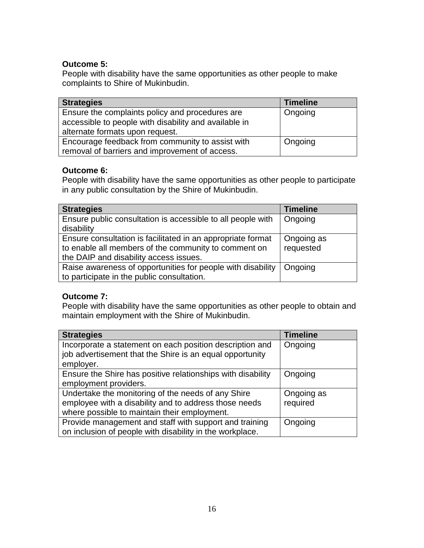# **Outcome 5:**

People with disability have the same opportunities as other people to make complaints to Shire of Mukinbudin.

| <b>Strategies</b>                                     | <b>Timeline</b> |
|-------------------------------------------------------|-----------------|
| Ensure the complaints policy and procedures are       | Ongoing         |
| accessible to people with disability and available in |                 |
| alternate formats upon request.                       |                 |
| Encourage feedback from community to assist with      | Ongoing         |
| removal of barriers and improvement of access.        |                 |

# **Outcome 6:**

People with disability have the same opportunities as other people to participate in any public consultation by the Shire of Mukinbudin.

| <b>Strategies</b>                                           | <b>Timeline</b> |
|-------------------------------------------------------------|-----------------|
| Ensure public consultation is accessible to all people with | Ongoing         |
| disability                                                  |                 |
| Ensure consultation is facilitated in an appropriate format | Ongoing as      |
| to enable all members of the community to comment on        | requested       |
| the DAIP and disability access issues.                      |                 |
| Raise awareness of opportunities for people with disability | Ongoing         |
| to participate in the public consultation.                  |                 |

#### **Outcome 7:**

People with disability have the same opportunities as other people to obtain and maintain employment with the Shire of Mukinbudin.

| <b>Strategies</b>                                           | <b>Timeline</b> |
|-------------------------------------------------------------|-----------------|
| Incorporate a statement on each position description and    | Ongoing         |
| job advertisement that the Shire is an equal opportunity    |                 |
| employer.                                                   |                 |
| Ensure the Shire has positive relationships with disability | Ongoing         |
| employment providers.                                       |                 |
| Undertake the monitoring of the needs of any Shire          | Ongoing as      |
| employee with a disability and to address those needs       | required        |
| where possible to maintain their employment.                |                 |
| Provide management and staff with support and training      | Ongoing         |
| on inclusion of people with disability in the workplace.    |                 |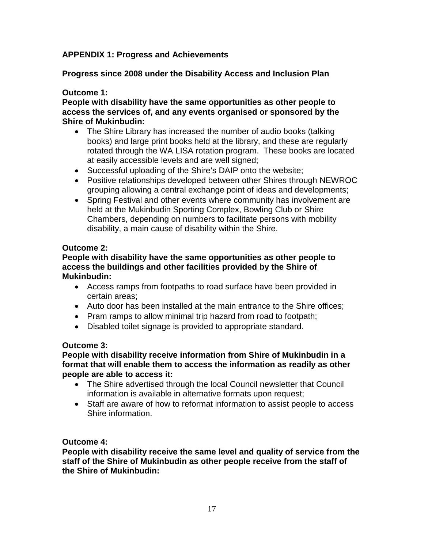# **APPENDIX 1: Progress and Achievements**

# **Progress since 2008 under the Disability Access and Inclusion Plan**

# **Outcome 1:**

**People with disability have the same opportunities as other people to access the services of, and any events organised or sponsored by the Shire of Mukinbudin:**

- The Shire Library has increased the number of audio books (talking books) and large print books held at the library, and these are regularly rotated through the WA LISA rotation program. These books are located at easily accessible levels and are well signed;
- Successful uploading of the Shire's DAIP onto the website;
- Positive relationships developed between other Shires through NEWROC grouping allowing a central exchange point of ideas and developments;
- Spring Festival and other events where community has involvement are held at the Mukinbudin Sporting Complex, Bowling Club or Shire Chambers, depending on numbers to facilitate persons with mobility disability, a main cause of disability within the Shire.

# **Outcome 2:**

### **People with disability have the same opportunities as other people to access the buildings and other facilities provided by the Shire of Mukinbudin:**

- Access ramps from footpaths to road surface have been provided in certain areas;
- Auto door has been installed at the main entrance to the Shire offices;
- Pram ramps to allow minimal trip hazard from road to footpath;
- Disabled toilet signage is provided to appropriate standard.

# **Outcome 3:**

#### **People with disability receive information from Shire of Mukinbudin in a format that will enable them to access the information as readily as other people are able to access it:**

- The Shire advertised through the local Council newsletter that Council information is available in alternative formats upon request;
- Staff are aware of how to reformat information to assist people to access Shire information.

# **Outcome 4:**

**People with disability receive the same level and quality of service from the staff of the Shire of Mukinbudin as other people receive from the staff of the Shire of Mukinbudin:**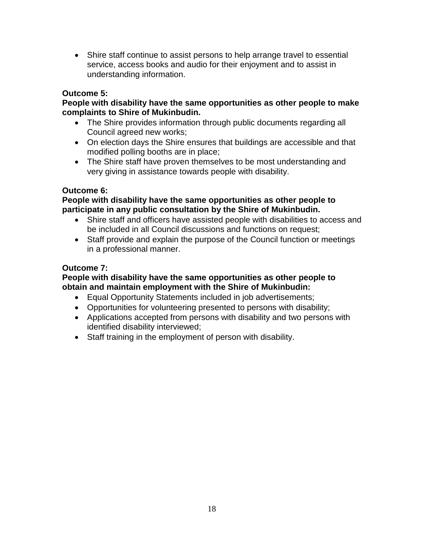• Shire staff continue to assist persons to help arrange travel to essential service, access books and audio for their enjoyment and to assist in understanding information.

# **Outcome 5:**

#### **People with disability have the same opportunities as other people to make complaints to Shire of Mukinbudin.**

- The Shire provides information through public documents regarding all Council agreed new works;
- On election days the Shire ensures that buildings are accessible and that modified polling booths are in place;
- The Shire staff have proven themselves to be most understanding and very giving in assistance towards people with disability.

# **Outcome 6:**

#### **People with disability have the same opportunities as other people to participate in any public consultation by the Shire of Mukinbudin.**

- Shire staff and officers have assisted people with disabilities to access and be included in all Council discussions and functions on request;
- Staff provide and explain the purpose of the Council function or meetings in a professional manner.

# **Outcome 7:**

# **People with disability have the same opportunities as other people to obtain and maintain employment with the Shire of Mukinbudin:**

- Equal Opportunity Statements included in job advertisements;
- Opportunities for volunteering presented to persons with disability;
- Applications accepted from persons with disability and two persons with identified disability interviewed;
- Staff training in the employment of person with disability.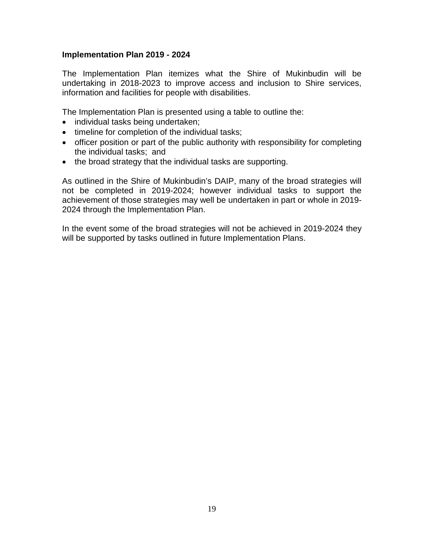#### **Implementation Plan 2019 - 2024**

The Implementation Plan itemizes what the Shire of Mukinbudin will be undertaking in 2018-2023 to improve access and inclusion to Shire services, information and facilities for people with disabilities.

The Implementation Plan is presented using a table to outline the:

- individual tasks being undertaken;
- timeline for completion of the individual tasks;
- officer position or part of the public authority with responsibility for completing the individual tasks; and
- the broad strategy that the individual tasks are supporting.

As outlined in the Shire of Mukinbudin's DAIP, many of the broad strategies will not be completed in 2019-2024; however individual tasks to support the achievement of those strategies may well be undertaken in part or whole in 2019- 2024 through the Implementation Plan.

In the event some of the broad strategies will not be achieved in 2019-2024 they will be supported by tasks outlined in future Implementation Plans.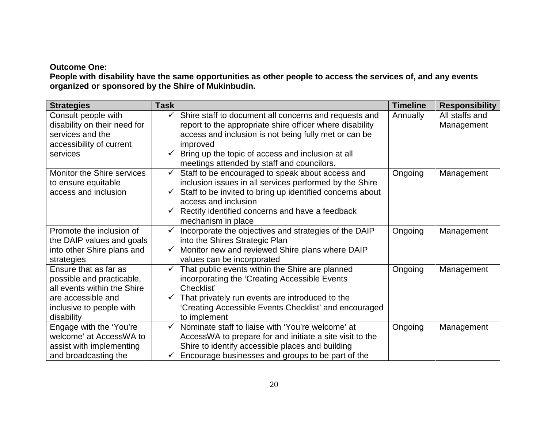# **Outcome One:**

**People with disability have the same opportunities as other people to access the services of, and any events organized or sponsored by the Shire of Mukinbudin.**

| <b>Strategies</b>            | <b>Task</b>  |                                                                | <b>Timeline</b> | <b>Responsibility</b> |
|------------------------------|--------------|----------------------------------------------------------------|-----------------|-----------------------|
| Consult people with          | ✓            | Shire staff to document all concerns and requests and          | Annually        | All staffs and        |
| disability on their need for |              | report to the appropriate shire officer where disability       |                 | Management            |
| services and the             |              | access and inclusion is not being fully met or can be          |                 |                       |
| accessibility of current     |              | improved                                                       |                 |                       |
| services                     | $\checkmark$ | Bring up the topic of access and inclusion at all              |                 |                       |
|                              |              | meetings attended by staff and councilors.                     |                 |                       |
| Monitor the Shire services   | $\checkmark$ | Staff to be encouraged to speak about access and               | Ongoing         | Management            |
| to ensure equitable          |              | inclusion issues in all services performed by the Shire        |                 |                       |
| access and inclusion         | $\checkmark$ | Staff to be invited to bring up identified concerns about      |                 |                       |
|                              |              | access and inclusion                                           |                 |                       |
|                              |              | $\checkmark$ Rectify identified concerns and have a feedback   |                 |                       |
|                              |              | mechanism in place                                             |                 |                       |
| Promote the inclusion of     | $\checkmark$ | Incorporate the objectives and strategies of the DAIP          | Ongoing         | Management            |
| the DAIP values and goals    |              | into the Shires Strategic Plan                                 |                 |                       |
| into other Shire plans and   | $\checkmark$ | Monitor new and reviewed Shire plans where DAIP                |                 |                       |
| strategies                   |              | values can be incorporated                                     |                 |                       |
| Ensure that as far as        | $\checkmark$ | That public events within the Shire are planned                | Ongoing         | Management            |
| possible and practicable,    |              | incorporating the 'Creating Accessible Events                  |                 |                       |
| all events within the Shire  |              | Checklist'                                                     |                 |                       |
| are accessible and           | ✓            | That privately run events are introduced to the                |                 |                       |
| inclusive to people with     |              | 'Creating Accessible Events Checklist' and encouraged          |                 |                       |
| disability                   |              | to implement                                                   |                 |                       |
| Engage with the 'You're      | $\checkmark$ | Nominate staff to liaise with 'You're welcome' at              | Ongoing         | Management            |
| welcome' at AccessWA to      |              | AccessWA to prepare for and initiate a site visit to the       |                 |                       |
| assist with implementing     |              | Shire to identify accessible places and building               |                 |                       |
| and broadcasting the         |              | $\checkmark$ Encourage businesses and groups to be part of the |                 |                       |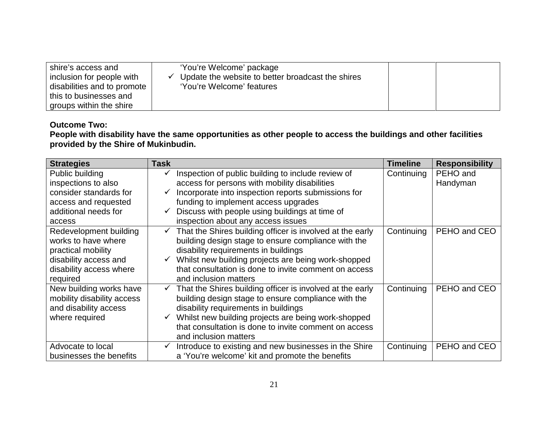| shire's access and<br>inclusion for people with<br>disabilities and to promote<br>this to businesses and | 'You're Welcome' package<br>Update the website to better broadcast the shires<br>$\checkmark$<br>'You're Welcome' features |  |
|----------------------------------------------------------------------------------------------------------|----------------------------------------------------------------------------------------------------------------------------|--|
| groups within the shire                                                                                  |                                                                                                                            |  |

# **Outcome Two:**

#### **People with disability have the same opportunities as other people to access the buildings and other facilities provided by the Shire of Mukinbudin.**

| <b>Strategies</b>          | Task         |                                                                        | <b>Timeline</b> | <b>Responsibility</b> |
|----------------------------|--------------|------------------------------------------------------------------------|-----------------|-----------------------|
| Public building            |              | Inspection of public building to include review of                     | Continuing      | PEHO and              |
| inspections to also        |              | access for persons with mobility disabilities                          |                 | Handyman              |
| consider standards for     |              | Incorporate into inspection reports submissions for                    |                 |                       |
| access and requested       |              | funding to implement access upgrades                                   |                 |                       |
| additional needs for       | $\checkmark$ | Discuss with people using buildings at time of                         |                 |                       |
| access                     |              | inspection about any access issues                                     |                 |                       |
| Redevelopment building     |              | $\checkmark$ That the Shires building officer is involved at the early | Continuing      | PEHO and CEO          |
| works to have where        |              | building design stage to ensure compliance with the                    |                 |                       |
| practical mobility         |              | disability requirements in buildings                                   |                 |                       |
| disability access and      | $\checkmark$ | Whilst new building projects are being work-shopped                    |                 |                       |
| disability access where    |              | that consultation is done to invite comment on access                  |                 |                       |
| required                   |              | and inclusion matters                                                  |                 |                       |
| New building works have    |              | That the Shires building officer is involved at the early              | Continuing      | PEHO and CEO          |
| mobility disability access |              | building design stage to ensure compliance with the                    |                 |                       |
| and disability access      |              | disability requirements in buildings                                   |                 |                       |
| where required             |              | Whilst new building projects are being work-shopped                    |                 |                       |
|                            |              | that consultation is done to invite comment on access                  |                 |                       |
|                            |              | and inclusion matters                                                  |                 |                       |
| Advocate to local          | ✓            | Introduce to existing and new businesses in the Shire                  | Continuing      | PEHO and CEO          |
| businesses the benefits    |              | a 'You're welcome' kit and promote the benefits                        |                 |                       |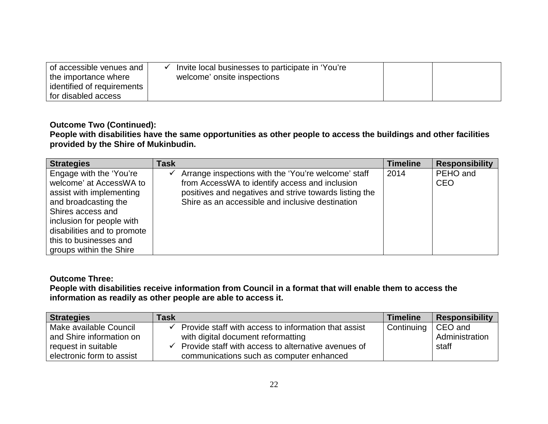| of accessible venues and<br>the importance where | Invite local businesses to participate in 'You're<br>welcome' onsite inspections |  |
|--------------------------------------------------|----------------------------------------------------------------------------------|--|
| identified of requirements                       |                                                                                  |  |
| for disabled access                              |                                                                                  |  |

# **Outcome Two (Continued):**

**People with disabilities have the same opportunities as other people to access the buildings and other facilities provided by the Shire of Mukinbudin.**

| <b>Strategies</b>           | <b>Task</b> |                                                        | <b>Timeline</b> | <b>Responsibility</b> |
|-----------------------------|-------------|--------------------------------------------------------|-----------------|-----------------------|
| Engage with the 'You're     |             | Arrange inspections with the 'You're welcome' staff    | 2014            | PEHO and              |
| welcome' at AccessWA to     |             | from AccessWA to identify access and inclusion         |                 | <b>CEO</b>            |
| assist with implementing    |             | positives and negatives and strive towards listing the |                 |                       |
| and broadcasting the        |             | Shire as an accessible and inclusive destination       |                 |                       |
| Shires access and           |             |                                                        |                 |                       |
| inclusion for people with   |             |                                                        |                 |                       |
| disabilities and to promote |             |                                                        |                 |                       |
| this to businesses and      |             |                                                        |                 |                       |
| groups within the Shire     |             |                                                        |                 |                       |

# **Outcome Three:**

**People with disabilities receive information from Council in a format that will enable them to access the information as readily as other people are able to access it.**

| <b>Strategies</b>         | <b>Task</b> |                                                      | <b>Timeline</b> | <b>Responsibility</b> |
|---------------------------|-------------|------------------------------------------------------|-----------------|-----------------------|
| Make available Council    |             | Provide staff with access to information that assist | Continuing      | CEO and               |
| and Shire information on  |             | with digital document reformatting                   |                 | Administration        |
| request in suitable       |             | Provide staff with access to alternative avenues of  |                 | staff                 |
| electronic form to assist |             | communications such as computer enhanced             |                 |                       |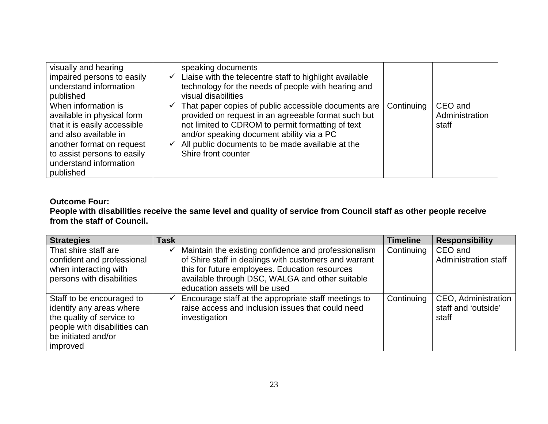| visually and hearing<br>impaired persons to easily<br>understand information<br>published                                                                                                                     | speaking documents<br>Liaise with the telecentre staff to highlight available<br>$\checkmark$<br>technology for the needs of people with hearing and<br>visual disabilities                                                                                                                                              |            |                                    |
|---------------------------------------------------------------------------------------------------------------------------------------------------------------------------------------------------------------|--------------------------------------------------------------------------------------------------------------------------------------------------------------------------------------------------------------------------------------------------------------------------------------------------------------------------|------------|------------------------------------|
| When information is<br>available in physical form<br>that it is easily accessible<br>and also available in<br>another format on request<br>to assist persons to easily<br>understand information<br>published | That paper copies of public accessible documents are<br>$\checkmark$<br>provided on request in an agreeable format such but<br>not limited to CDROM to permit formatting of text<br>and/or speaking document ability via a PC<br>All public documents to be made available at the<br>$\checkmark$<br>Shire front counter | Continuing | CEO and<br>Administration<br>staff |

# **Outcome Four:**

**People with disabilities receive the same level and quality of service from Council staff as other people receive from the staff of Council.**

| <b>Strategies</b>            | <b>Task</b>  |                                                       | <b>Timeline</b> | <b>Responsibility</b>       |
|------------------------------|--------------|-------------------------------------------------------|-----------------|-----------------------------|
| That shire staff are         |              | Maintain the existing confidence and professionalism  | Continuing      | CEO and                     |
| confident and professional   |              | of Shire staff in dealings with customers and warrant |                 | <b>Administration staff</b> |
| when interacting with        |              | this for future employees. Education resources        |                 |                             |
| persons with disabilities    |              | available through DSC, WALGA and other suitable       |                 |                             |
|                              |              | education assets will be used                         |                 |                             |
| Staff to be encouraged to    | $\checkmark$ | Encourage staff at the appropriate staff meetings to  | Continuing      | CEO, Administration         |
| identify any areas where     |              | raise access and inclusion issues that could need     |                 | staff and 'outside'         |
| the quality of service to    |              | investigation                                         |                 | staff                       |
| people with disabilities can |              |                                                       |                 |                             |
| be initiated and/or          |              |                                                       |                 |                             |
| improved                     |              |                                                       |                 |                             |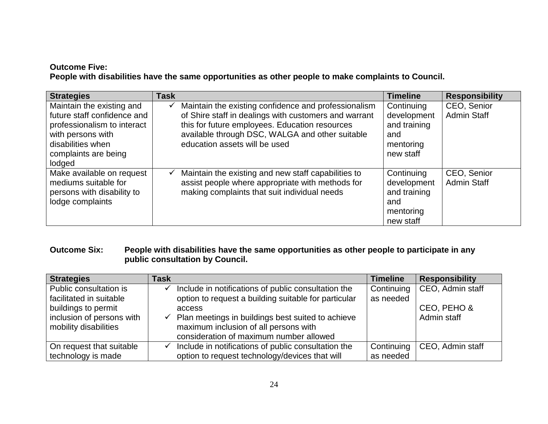# **Outcome Five: People with disabilities have the same opportunities as other people to make complaints to Council.**

| <b>Strategies</b>                                                                                                                                                   | <b>Task</b> |                                                                                                                                                                                                                                                     | <b>Timeline</b>                                                            | <b>Responsibility</b>             |
|---------------------------------------------------------------------------------------------------------------------------------------------------------------------|-------------|-----------------------------------------------------------------------------------------------------------------------------------------------------------------------------------------------------------------------------------------------------|----------------------------------------------------------------------------|-----------------------------------|
| Maintain the existing and<br>future staff confidence and<br>professionalism to interact<br>with persons with<br>disabilities when<br>complaints are being<br>lodged | ✓           | Maintain the existing confidence and professionalism<br>of Shire staff in dealings with customers and warrant<br>this for future employees. Education resources<br>available through DSC, WALGA and other suitable<br>education assets will be used | Continuing<br>development<br>and training<br>and<br>mentoring<br>new staff | CEO, Senior<br><b>Admin Staff</b> |
| Make available on request<br>mediums suitable for<br>persons with disability to<br>lodge complaints                                                                 | ✓           | Maintain the existing and new staff capabilities to<br>assist people where appropriate with methods for<br>making complaints that suit individual needs                                                                                             | Continuing<br>development<br>and training<br>and<br>mentoring<br>new staff | CEO, Senior<br><b>Admin Staff</b> |

# **Outcome Six: People with disabilities have the same opportunities as other people to participate in any public consultation by Council.**

| <b>Strategies</b>         | Task         |                                                      | <b>Timeline</b> | <b>Responsibility</b> |
|---------------------------|--------------|------------------------------------------------------|-----------------|-----------------------|
| Public consultation is    | $\checkmark$ | Include in notifications of public consultation the  | Continuing      | CEO, Admin staff      |
| facilitated in suitable   |              | option to request a building suitable for particular | as needed       |                       |
| buildings to permit       |              | access                                               |                 | CEO, PEHO &           |
| inclusion of persons with | $\checkmark$ | Plan meetings in buildings best suited to achieve    |                 | Admin staff           |
| mobility disabilities     |              | maximum inclusion of all persons with                |                 |                       |
|                           |              | consideration of maximum number allowed              |                 |                       |
| On request that suitable  | $\checkmark$ | Include in notifications of public consultation the  | Continuing      | CEO, Admin staff      |
| technology is made        |              | option to request technology/devices that will       | as needed       |                       |